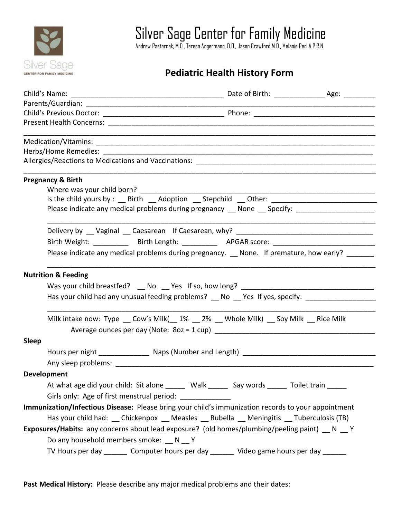

Silver Sage Center for Family Medicine

Andrew Pasternak, M.D., Teresa Angermann, D.O., Jason Crawford M.D., Melanie Perl A.P.R.N

## **Pediatric Health History Form**

| <b>Pregnancy &amp; Birth</b>                                                                                    |  |
|-----------------------------------------------------------------------------------------------------------------|--|
| Where was your child born?                                                                                      |  |
| Is the child yours by : __ Birth __ Adoption __ Stepchild __ Other: ________________________________            |  |
| Please indicate any medical problems during pregnancy __ None __ Specify: _________________________             |  |
|                                                                                                                 |  |
| Birth Weight: ____________ Birth Length: ____________ APGAR score: ________________________________             |  |
| Please indicate any medical problems during pregnancy. _ None. If premature, how early? ______                  |  |
| <b>Nutrition &amp; Feeding</b>                                                                                  |  |
| Was your child breastfed? __ No __ Yes If so, how long? _________________________                               |  |
| Has your child had any unusual feeding problems? _ No _ Yes If yes, specify: _____________________              |  |
| Milk intake now: Type __ Cow's Milk(__1% __ 2% __ Whole Milk) __ Soy Milk __ Rice Milk                          |  |
|                                                                                                                 |  |
| <b>Sleep</b>                                                                                                    |  |
|                                                                                                                 |  |
|                                                                                                                 |  |
| <b>Development</b>                                                                                              |  |
| At what age did your child: Sit alone ______ Walk ______ Say words ______ Toilet train _____                    |  |
| Girls only: Age of first menstrual period: _____________                                                        |  |
| Immunization/Infectious Disease: Please bring your child's immunization records to your appointment             |  |
|                                                                                                                 |  |
| Has your child had: __ Chickenpox __ Measles __ Rubella __ Meningitis __ Tuberculosis (TB)                      |  |
| <b>Exposures/Habits:</b> any concerns about lead exposure? (old homes/plumbing/peeling paint) $\_\_N$ N $\_\_Y$ |  |
| Do any household members smoke: N V                                                                             |  |
| TV Hours per day _______ Computer hours per day _______ Video game hours per day ______                         |  |

**Past Medical History:** Please describe any major medical problems and their dates: